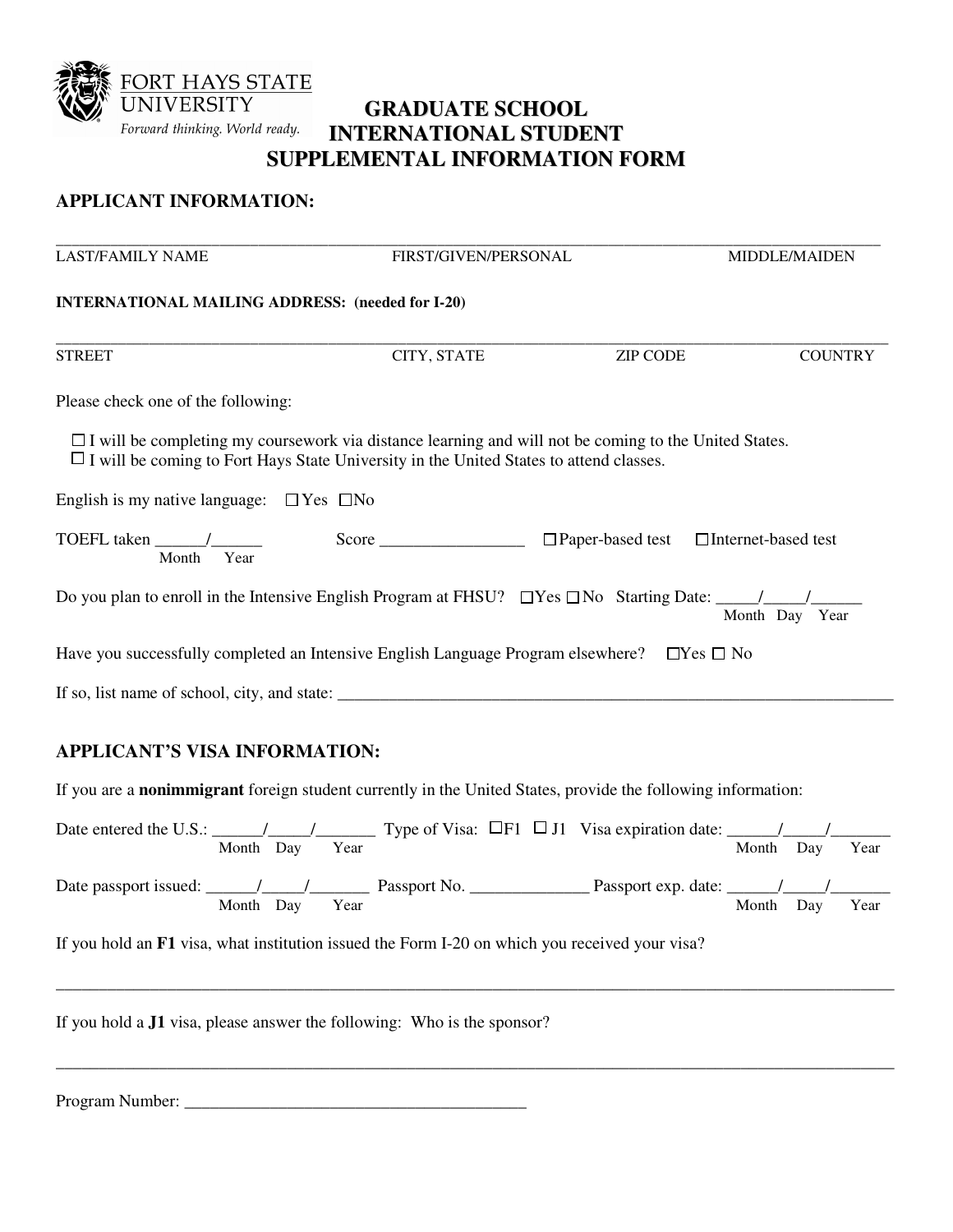

## **GRADUATE SCHOOL INTERNATIONAL STUDENT SUPPLEMENTAL INFORMATION FORM**

## **APPLICANT INFORMATION:**

| <b>LAST/FAMILY NAME</b>                                                          | FIRST/GIVEN/PERSONAL                                                                                                                                                                                          |                                                    | <b>MIDDLE/MAIDEN</b> |  |  |
|----------------------------------------------------------------------------------|---------------------------------------------------------------------------------------------------------------------------------------------------------------------------------------------------------------|----------------------------------------------------|----------------------|--|--|
| <b>INTERNATIONAL MAILING ADDRESS: (needed for I-20)</b>                          |                                                                                                                                                                                                               |                                                    |                      |  |  |
| <b>STREET</b>                                                                    | CITY, STATE                                                                                                                                                                                                   | <b>ZIP CODE</b>                                    | <b>COUNTRY</b>       |  |  |
| Please check one of the following:                                               |                                                                                                                                                                                                               |                                                    |                      |  |  |
|                                                                                  | $\Box$ I will be completing my coursework via distance learning and will not be coming to the United States.<br>$\Box$ I will be coming to Fort Hays State University in the United States to attend classes. |                                                    |                      |  |  |
| English is my native language: $\Box$ Yes $\Box$ No                              |                                                                                                                                                                                                               |                                                    |                      |  |  |
| TOEFL taken $\frac{\ }{\ }$<br>Month Year                                        | Score                                                                                                                                                                                                         | $\Box$ Paper-based test $\Box$ Internet-based test |                      |  |  |
|                                                                                  |                                                                                                                                                                                                               |                                                    | Month Day Year       |  |  |
| Have you successfully completed an Intensive English Language Program elsewhere? |                                                                                                                                                                                                               | $\Box$ Yes $\Box$ No                               |                      |  |  |
| If so, list name of school, city, and state:                                     |                                                                                                                                                                                                               |                                                    |                      |  |  |

## **APPLICANT'S VISA INFORMATION:**

If you are a **nonimmigrant** foreign student currently in the United States, provide the following information:

| Date entered the U.S.: $\frac{1}{\sqrt{1-\frac{1}{1-\frac{1}{1-\frac{1}{1-\frac{1}{1-\frac{1}{1-\frac{1}{1-\frac{1}{1-\frac{1}{1-\frac{1}{1-\frac{1}{1-\frac{1}{1-\frac{1}{1-\frac{1}{1-\frac{1}{1-\frac{1}{1-\frac{1}{1-\frac{1}{1-\frac{1}{1-\frac{1}{1-\frac{1}{1-\frac{1}{1-\frac{1}{1-\frac{1}{1-\frac{1}{1-\frac{1}{1-\frac{1}{1-\frac{1}{1-\frac{1}{1-\frac{1}{1-\frac{1}{1-\frac{1}{1-\frac$ |           |      |  | Type of Visa: $\Box$ F1 $\Box$ J1 Visa expiration date:                                                                                                                                                                                                                                                                                                                                               |       |     |      |
|------------------------------------------------------------------------------------------------------------------------------------------------------------------------------------------------------------------------------------------------------------------------------------------------------------------------------------------------------------------------------------------------------|-----------|------|--|-------------------------------------------------------------------------------------------------------------------------------------------------------------------------------------------------------------------------------------------------------------------------------------------------------------------------------------------------------------------------------------------------------|-------|-----|------|
|                                                                                                                                                                                                                                                                                                                                                                                                      | Month Day | Year |  |                                                                                                                                                                                                                                                                                                                                                                                                       | Month | Dav | Year |
|                                                                                                                                                                                                                                                                                                                                                                                                      |           |      |  |                                                                                                                                                                                                                                                                                                                                                                                                       |       |     |      |
|                                                                                                                                                                                                                                                                                                                                                                                                      |           |      |  | Passport exp. date: $\frac{1}{\sqrt{1-\frac{1}{1-\frac{1}{1-\frac{1}{1-\frac{1}{1-\frac{1}{1-\frac{1}{1-\frac{1}{1-\frac{1}{1-\frac{1}{1-\frac{1}{1-\frac{1}{1-\frac{1}{1-\frac{1}{1-\frac{1}{1-\frac{1}{1-\frac{1}{1-\frac{1}{1-\frac{1}{1-\frac{1}{1-\frac{1}{1-\frac{1}{1-\frac{1}{1-\frac{1}{1-\frac{1}{1-\frac{1}{1-\frac{1}{1-\frac{1}{1-\frac{1}{1-\frac{1}{1-\frac{1}{1-\frac{1}{1-\frac{1}{$ |       |     |      |
|                                                                                                                                                                                                                                                                                                                                                                                                      | Month Day | Year |  |                                                                                                                                                                                                                                                                                                                                                                                                       | Month | Dav | Year |
|                                                                                                                                                                                                                                                                                                                                                                                                      |           |      |  |                                                                                                                                                                                                                                                                                                                                                                                                       |       |     |      |

\_\_\_\_\_\_\_\_\_\_\_\_\_\_\_\_\_\_\_\_\_\_\_\_\_\_\_\_\_\_\_\_\_\_\_\_\_\_\_\_\_\_\_\_\_\_\_\_\_\_\_\_\_\_\_\_\_\_\_\_\_\_\_\_\_\_\_\_\_\_\_\_\_\_\_\_\_\_\_\_\_\_\_\_\_\_\_\_\_\_\_\_\_\_\_\_\_\_

\_\_\_\_\_\_\_\_\_\_\_\_\_\_\_\_\_\_\_\_\_\_\_\_\_\_\_\_\_\_\_\_\_\_\_\_\_\_\_\_\_\_\_\_\_\_\_\_\_\_\_\_\_\_\_\_\_\_\_\_\_\_\_\_\_\_\_\_\_\_\_\_\_\_\_\_\_\_\_\_\_\_\_\_\_\_\_\_\_\_\_\_\_\_\_\_\_\_

If you hold an **F1** visa, what institution issued the Form I-20 on which you received your visa?

If you hold a **J1** visa, please answer the following: Who is the sponsor?

| Program Number: |  |
|-----------------|--|
|                 |  |